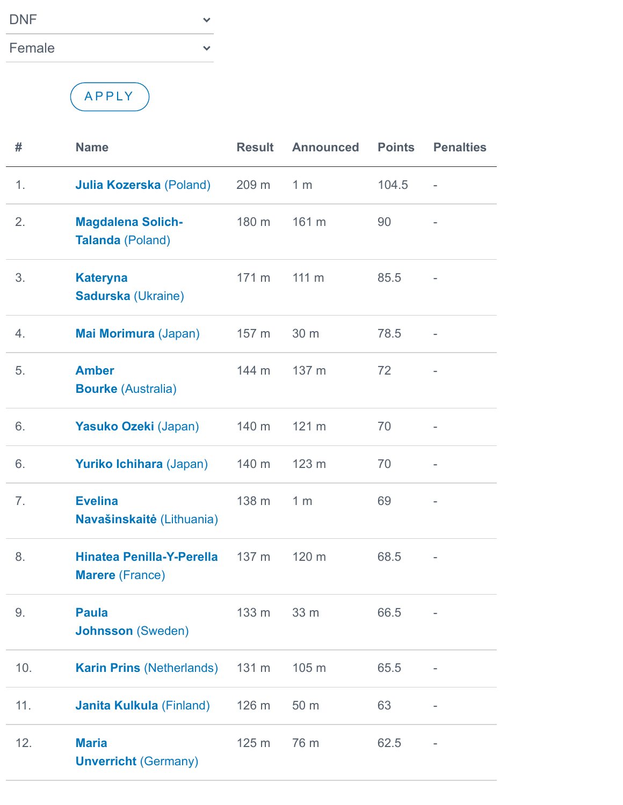| <b>DNF</b> |  |
|------------|--|
| Female     |  |

## A P P LY

| #   | <b>Name</b>                                                | <b>Result</b>    | <b>Announced</b> | <b>Points</b> | <b>Penalties</b>         |
|-----|------------------------------------------------------------|------------------|------------------|---------------|--------------------------|
| 1.  | <b>Julia Kozerska (Poland)</b>                             | 209 <sub>m</sub> | 1 <sub>m</sub>   | 104.5         | $\overline{\phantom{a}}$ |
| 2.  | <b>Magdalena Solich-</b><br><b>Talanda (Poland)</b>        | 180 m            | 161 m            | 90            |                          |
| 3.  | <b>Kateryna</b><br><b>Sadurska (Ukraine)</b>               | 171 m            | $111 \text{ m}$  | 85.5          |                          |
| 4.  | Mai Morimura (Japan)                                       | 157 <sub>m</sub> | 30 m             | 78.5          |                          |
| 5.  | <b>Amber</b><br><b>Bourke (Australia)</b>                  | 144 m            | 137 m            | 72            |                          |
| 6.  | Yasuko Ozeki (Japan)                                       | 140 m            | 121 m            | 70            |                          |
| 6.  | <b>Yuriko Ichihara (Japan)</b>                             | 140 m            | 123 m            | 70            |                          |
| 7.  | <b>Evelina</b><br>Navašinskaitė (Lithuania)                | 138 m            | 1 <sub>m</sub>   | 69            |                          |
| 8.  | <b>Hinatea Penilla-Y-Perella</b><br><b>Marere</b> (France) | 137 m            | 120 m            | 68.5          |                          |
| 9.  | <b>Paula</b><br><b>Johnsson</b> (Sweden)                   | $133 m$ $33 m$   |                  | 66.5          |                          |
| 10. | <b>Karin Prins (Netherlands)</b>                           | 131 m            | 105 m            | 65.5          |                          |
| 11. | <b>Janita Kulkula (Finland)</b>                            | 126 m            | 50 m             | 63            |                          |
| 12. | <b>Maria</b><br><b>Unverricht (Germany)</b>                | 125 m            | 76 m             | 62.5          |                          |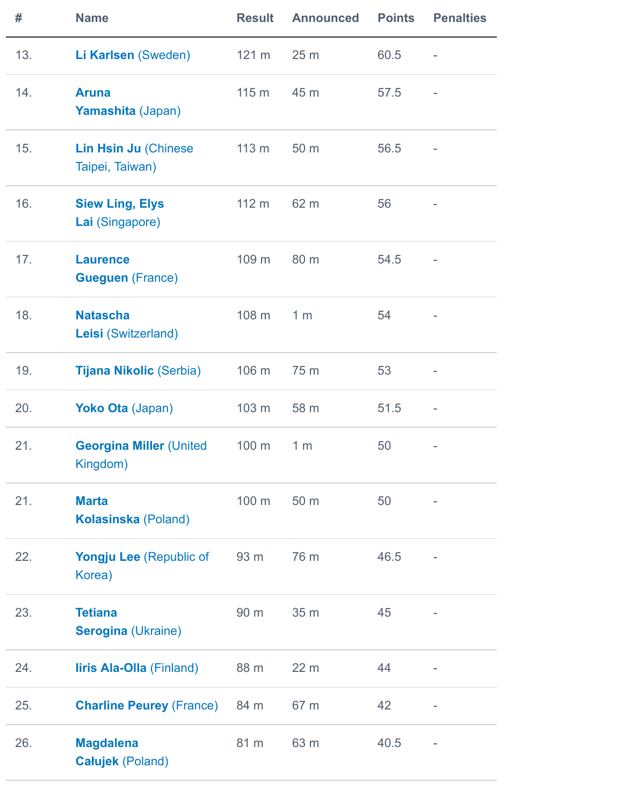| #   | <b>Name</b>                                 | <b>Result</b> | <b>Announced</b> | <b>Points</b> | <b>Penalties</b> |
|-----|---------------------------------------------|---------------|------------------|---------------|------------------|
| 13. | Li Karlsen (Sweden)                         | 121 m         | 25 <sub>m</sub>  | 60.5          |                  |
| 14. | <b>Aruna</b><br>Yamashita (Japan)           | 115 m         | 45 m             | 57.5          |                  |
| 15. | Lin Hsin Ju (Chinese<br>Taipei, Taiwan)     | 113 m         | 50 m             | 56.5          |                  |
| 16. | <b>Siew Ling, Elys</b><br>Lai (Singapore)   | 112 m         | 62 m             | 56            |                  |
| 17. | <b>Laurence</b><br><b>Gueguen (France)</b>  | 109 m         | 80 m             | 54.5          |                  |
| 18. | <b>Natascha</b><br>Leisi (Switzerland)      | 108 m         | 1 <sub>m</sub>   | 54            |                  |
| 19. | <b>Tijana Nikolic (Serbia)</b>              | 106 m         | 75 m             | 53            |                  |
| 20. | Yoko Ota (Japan)                            | 103 m         | 58 m             | 51.5          | ۰                |
| 21. | <b>Georgina Miller (United</b><br>Kingdom)  | 100 m         | 1 <sub>m</sub>   | 50            |                  |
| 21. | <b>Marta</b><br><b>Kolasinska (Poland)</b>  | 100 m         | 50 m             | 50            |                  |
| 22. | <b>Yongju Lee (Republic of</b><br>Korea)    | 93 m          | 76 m             | 46.5          |                  |
| 23. | <b>Tetiana</b><br><b>Serogina (Ukraine)</b> | 90 m          | 35 m             | 45            |                  |
| 24. | <b>liris Ala-Olla</b> (Finland)             | 88 m          | 22 m             | 44            |                  |
| 25. | <b>Charline Peurey (France)</b>             | 84 m          | 67 m             | 42            |                  |
| 26. | <b>Magdalena</b><br><b>Całujek (Poland)</b> | 81 m          | 63 m             | 40.5          | -                |